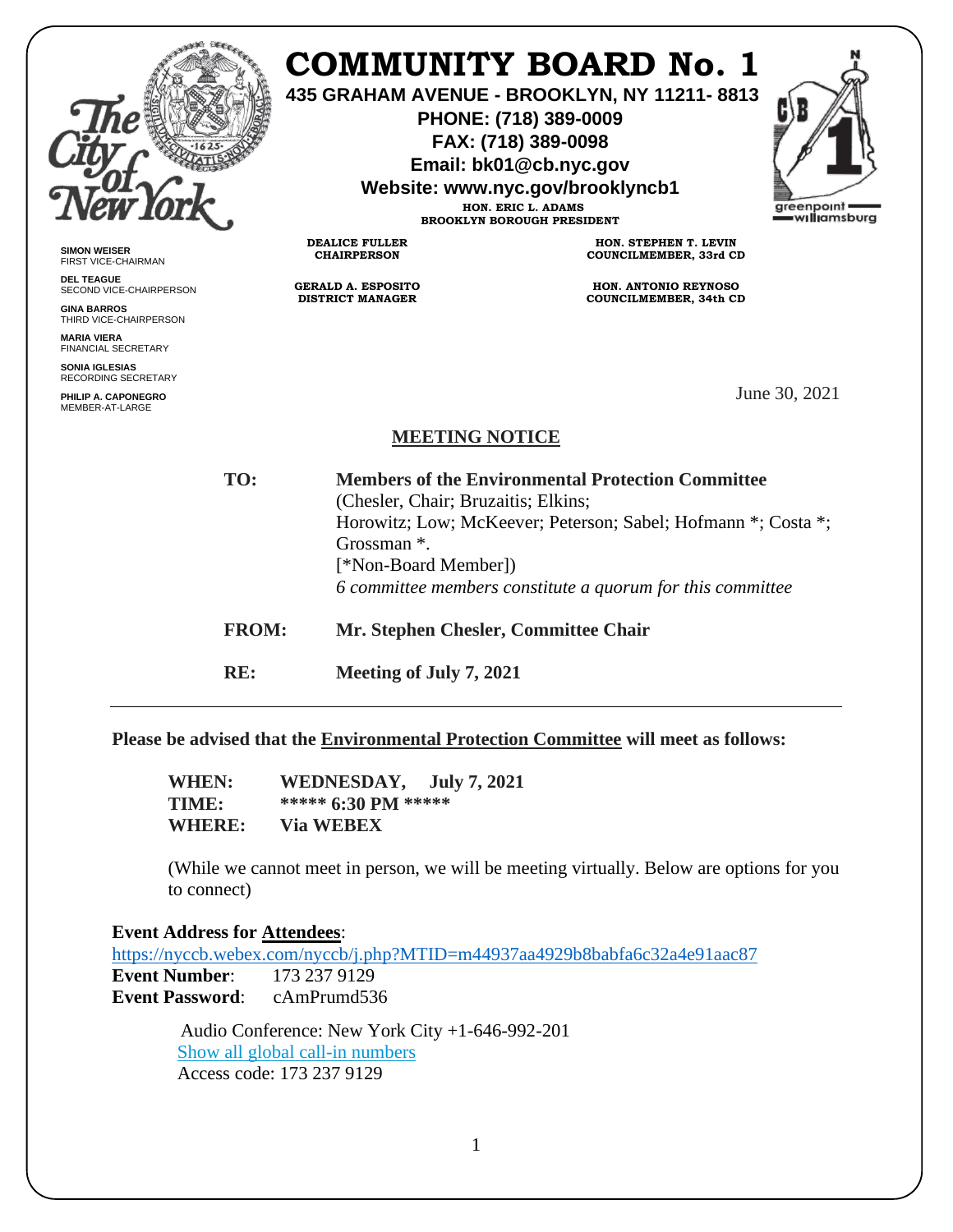|                                                               |                                                                 |                                                      | COMMUNITY BOARD No. 1<br>435 GRAHAM AVENUE - BROOKLYN, NY 11211-8813<br>PHONE: (718) 389-0009<br>FAX: (718) 389-0098<br>Email: bk01@cb.nyc.gov<br>Website: www.nyc.gov/brooklyncb1<br>HON. ERIC L. ADAMS<br><b>BROOKLYN BOROUGH PRESIDENT</b> | greenpoint<br>—w <b>ıllı</b> amsbura |
|---------------------------------------------------------------|-----------------------------------------------------------------|------------------------------------------------------|-----------------------------------------------------------------------------------------------------------------------------------------------------------------------------------------------------------------------------------------------|--------------------------------------|
| <b>SIMON WEISER</b><br>FIRST VICE-CHAIRMAN                    |                                                                 | <b>DEALICE FULLER</b><br><b>CHAIRPERSON</b>          | HON. STEPHEN T. LEVIN<br>COUNCILMEMBER, 33rd CD                                                                                                                                                                                               |                                      |
| <b>DEL TEAGUE</b><br>SECOND VICE-CHAIRPERSON                  |                                                                 | <b>GERALD A. ESPOSITO</b><br><b>DISTRICT MANAGER</b> | HON. ANTONIO REYNOSO                                                                                                                                                                                                                          |                                      |
| <b>GINA BARROS</b><br>THIRD VICE-CHAIRPERSON                  |                                                                 |                                                      | <b>COUNCILMEMBER, 34th CD</b>                                                                                                                                                                                                                 |                                      |
| <b>MARIA VIERA</b><br><b>FINANCIAL SECRETARY</b>              |                                                                 |                                                      |                                                                                                                                                                                                                                               |                                      |
| <b>SONIA IGLESIAS</b><br><b>RECORDING SECRETARY</b>           |                                                                 |                                                      |                                                                                                                                                                                                                                               |                                      |
| PHILIP A. CAPONEGRO<br>MEMBER-AT-LARGE                        |                                                                 |                                                      |                                                                                                                                                                                                                                               | June 30, 2021                        |
|                                                               |                                                                 | <b>MEETING NOTICE</b>                                |                                                                                                                                                                                                                                               |                                      |
|                                                               | TO:<br><b>Members of the Environmental Protection Committee</b> |                                                      |                                                                                                                                                                                                                                               |                                      |
|                                                               | (Chesler, Chair; Bruzaitis; Elkins;                             |                                                      |                                                                                                                                                                                                                                               |                                      |
| Horowitz; Low; McKeever; Peterson; Sabel; Hofmann *; Costa *; |                                                                 |                                                      |                                                                                                                                                                                                                                               |                                      |
|                                                               |                                                                 | Grossman *.                                          |                                                                                                                                                                                                                                               |                                      |
|                                                               |                                                                 | [*Non-Board Member])                                 |                                                                                                                                                                                                                                               |                                      |
|                                                               |                                                                 |                                                      | 6 committee members constitute a quorum for this committee                                                                                                                                                                                    |                                      |
|                                                               | <b>FROM:</b>                                                    |                                                      | Mr. Stephen Chesler, Committee Chair                                                                                                                                                                                                          |                                      |
|                                                               | RE:                                                             | Meeting of July 7, 2021                              |                                                                                                                                                                                                                                               |                                      |
|                                                               |                                                                 |                                                      |                                                                                                                                                                                                                                               |                                      |

**Please be advised that the Environmental Protection Committee will meet as follows:**

**WHEN: WEDNESDAY, July 7, 2021 TIME: \*\*\*\*\* 6:30 PM \*\*\*\*\* WHERE: Via WEBEX**

(While we cannot meet in person, we will be meeting virtually. Below are options for you to connect)

## **Event Address for Attendees**: <https://nyccb.webex.com/nyccb/j.php?MTID=m44937aa4929b8babfa6c32a4e91aac87><br>Event Number: 173 237 9129 **Event Number: Event Password**: cAmPrumd536

 Audio Conference: New York City +1-646-992-201 [Show all global call-in numbers](https://nyccb.webex.com/cmp3300/webcomponents/widget/globalcallin/globalcallin.do?siteurl=nyccb&serviceType=EC&eventID=1101180212&tollFree=0) Access code: 173 237 9129